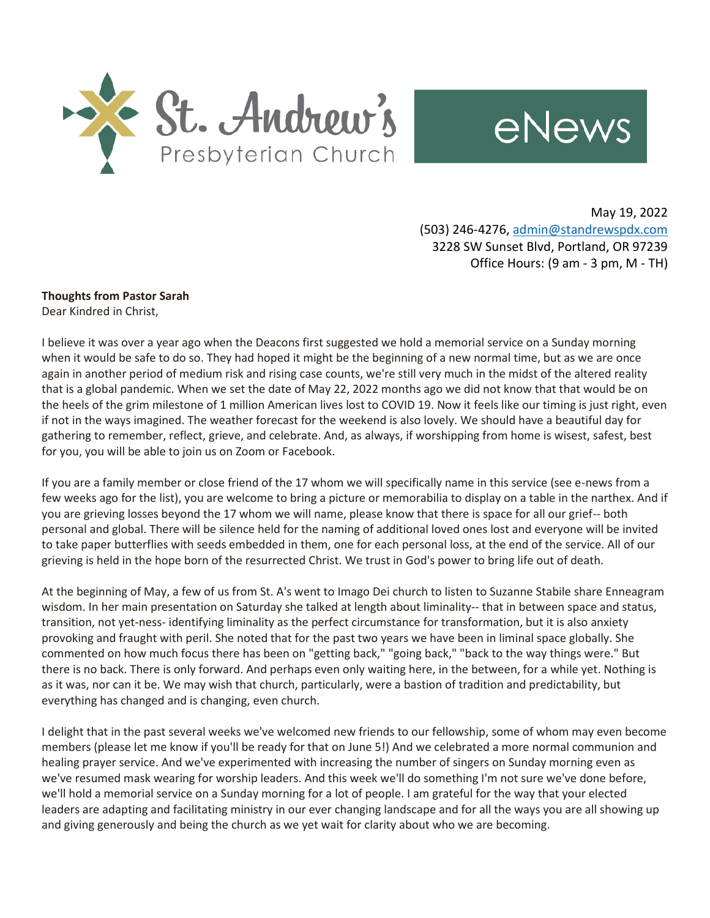



May 19, 2022 (503) 246-4276, [admin@standrewspdx.com](mailto:admin@standrewspdx.com) 3228 SW Sunset Blvd, Portland, OR 97239 Office Hours: (9 am - 3 pm, M - TH)

## **Thoughts from Pastor Sarah**

Dear Kindred in Christ,

I believe it was over a year ago when the Deacons first suggested we hold a memorial service on a Sunday morning when it would be safe to do so. They had hoped it might be the beginning of a new normal time, but as we are once again in another period of medium risk and rising case counts, we're still very much in the midst of the altered reality that is a global pandemic. When we set the date of May 22, 2022 months ago we did not know that that would be on the heels of the grim milestone of 1 million American lives lost to COVID 19. Now it feels like our timing is just right, even if not in the ways imagined. The weather forecast for the weekend is also lovely. We should have a beautiful day for gathering to remember, reflect, grieve, and celebrate. And, as always, if worshipping from home is wisest, safest, best for you, you will be able to join us on Zoom or Facebook.

If you are a family member or close friend of the 17 whom we will specifically name in this service (see e-news from a few weeks ago for the list), you are welcome to bring a picture or memorabilia to display on a table in the narthex. And if you are grieving losses beyond the 17 whom we will name, please know that there is space for all our grief-- both personal and global. There will be silence held for the naming of additional loved ones lost and everyone will be invited to take paper butterflies with seeds embedded in them, one for each personal loss, at the end of the service. All of our grieving is held in the hope born of the resurrected Christ. We trust in God's power to bring life out of death.

At the beginning of May, a few of us from St. A's went to Imago Dei church to listen to Suzanne Stabile share Enneagram wisdom. In her main presentation on Saturday she talked at length about liminality-- that in between space and status, transition, not yet-ness- identifying liminality as the perfect circumstance for transformation, but it is also anxiety provoking and fraught with peril. She noted that for the past two years we have been in liminal space globally. She commented on how much focus there has been on "getting back," "going back," "back to the way things were." But there is no back. There is only forward. And perhaps even only waiting here, in the between, for a while yet. Nothing is as it was, nor can it be. We may wish that church, particularly, were a bastion of tradition and predictability, but everything has changed and is changing, even church.

I delight that in the past several weeks we've welcomed new friends to our fellowship, some of whom may even become members (please let me know if you'll be ready for that on June 5!) And we celebrated a more normal communion and healing prayer service. And we've experimented with increasing the number of singers on Sunday morning even as we've resumed mask wearing for worship leaders. And this week we'll do something I'm not sure we've done before, we'll hold a memorial service on a Sunday morning for a lot of people. I am grateful for the way that your elected leaders are adapting and facilitating ministry in our ever changing landscape and for all the ways you are all showing up and giving generously and being the church as we yet wait for clarity about who we are becoming.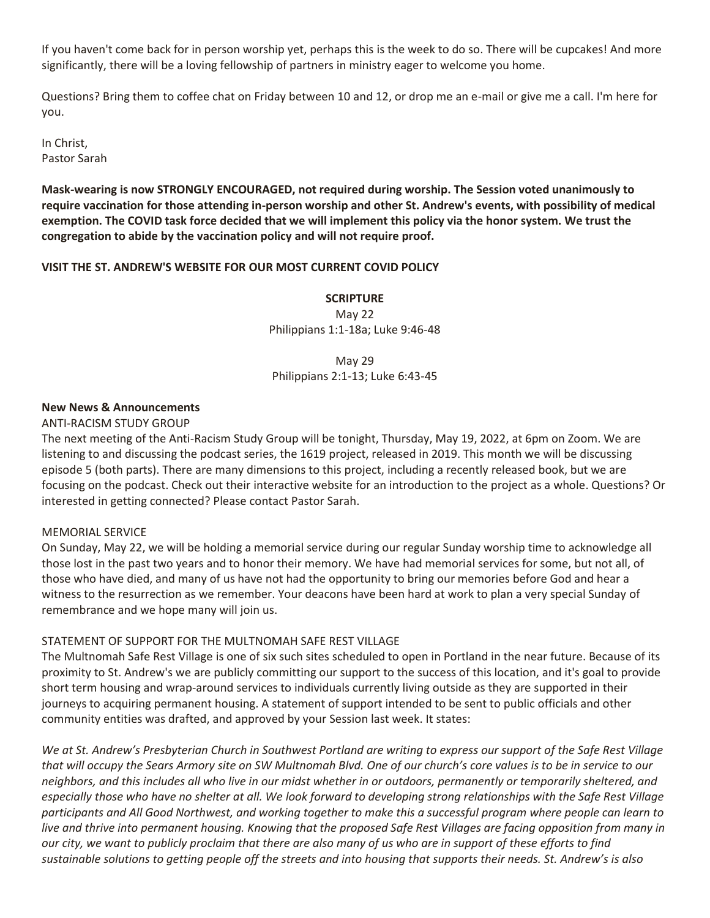If you haven't come back for in person worship yet, perhaps this is the week to do so. There will be cupcakes! And more significantly, there will be a loving fellowship of partners in ministry eager to welcome you home.

Questions? Bring them to coffee chat on Friday between 10 and 12, or drop me an e-mail or give me a call. I'm here for you.

In Christ, Pastor Sarah

**Mask-wearing is now STRONGLY ENCOURAGED, not required during worship. The Session voted unanimously to require vaccination for those attending in-person worship and other St. Andrew's events, with possibility of medical exemption. The COVID task force decided that we will implement this policy via the honor system. We trust the congregation to abide by the vaccination policy and will not require proof.**

## **VISIT THE ST. ANDREW'S WEBSITE FOR OUR MOST CURRENT COVID POLICY**

**SCRIPTURE** May 22 Philippians 1:1-18a; Luke 9:46-48

May 29 Philippians 2:1-13; Luke 6:43-45

## **New News & Announcements**

ANTI-RACISM STUDY GROUP

The next meeting of the Anti-Racism Study Group will be tonight, Thursday, May 19, 2022, at 6pm on Zoom. We are listening to and discussing the podcast series, the 1619 project, released in 2019. This month we will be discussing episode 5 (both parts). There are many dimensions to this project, including a recently released book, but we are focusing on the podcast. Check out their interactive website for an introduction to the project as a whole. Questions? Or interested in getting connected? Please contact Pastor Sarah.

## MEMORIAL SERVICE

On Sunday, May 22, we will be holding a memorial service during our regular Sunday worship time to acknowledge all those lost in the past two years and to honor their memory. We have had memorial services for some, but not all, of those who have died, and many of us have not had the opportunity to bring our memories before God and hear a witness to the resurrection as we remember. Your deacons have been hard at work to plan a very special Sunday of remembrance and we hope many will join us.

## STATEMENT OF SUPPORT FOR THE MULTNOMAH SAFE REST VILLAGE

The Multnomah Safe Rest Village is one of six such sites scheduled to open in Portland in the near future. Because of its proximity to St. Andrew's we are publicly committing our support to the success of this location, and it's goal to provide short term housing and wrap-around services to individuals currently living outside as they are supported in their journeys to acquiring permanent housing. A statement of support intended to be sent to public officials and other community entities was drafted, and approved by your Session last week. It states:

*We at St. Andrew's Presbyterian Church in Southwest Portland are writing to express our support of the Safe Rest Village that will occupy the Sears Armory site on SW Multnomah Blvd. One of our church's core values is to be in service to our neighbors, and this includes all who live in our midst whether in or outdoors, permanently or temporarily sheltered, and especially those who have no shelter at all. We look forward to developing strong relationships with the Safe Rest Village participants and All Good Northwest, and working together to make this a successful program where people can learn to live and thrive into permanent housing. Knowing that the proposed Safe Rest Villages are facing opposition from many in our city, we want to publicly proclaim that there are also many of us who are in support of these efforts to find sustainable solutions to getting people off the streets and into housing that supports their needs. St. Andrew's is also*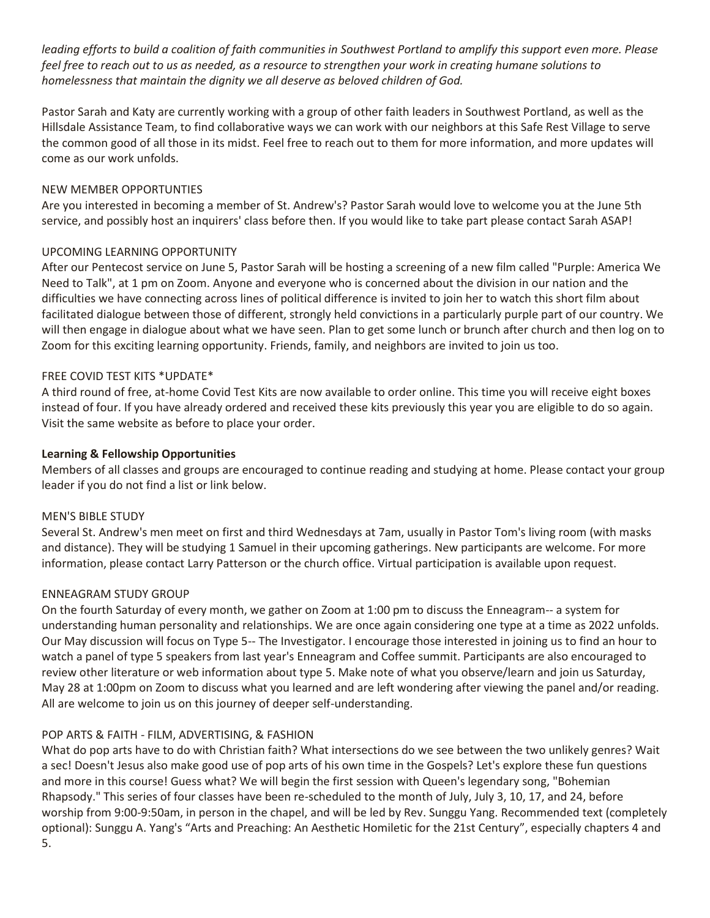*leading efforts to build a coalition of faith communities in Southwest Portland to amplify this support even more. Please feel free to reach out to us as needed, as a resource to strengthen your work in creating humane solutions to homelessness that maintain the dignity we all deserve as beloved children of God.*

Pastor Sarah and Katy are currently working with a group of other faith leaders in Southwest Portland, as well as the Hillsdale Assistance Team, to find collaborative ways we can work with our neighbors at this Safe Rest Village to serve the common good of all those in its midst. Feel free to reach out to them for more information, and more updates will come as our work unfolds.

## NEW MEMBER OPPORTUNTIES

Are you interested in becoming a member of St. Andrew's? Pastor Sarah would love to welcome you at the June 5th service, and possibly host an inquirers' class before then. If you would like to take part please contact Sarah ASAP!

## UPCOMING LEARNING OPPORTUNITY

After our Pentecost service on June 5, Pastor Sarah will be hosting a screening of a new film called "Purple: America We Need to Talk", at 1 pm on Zoom. Anyone and everyone who is concerned about the division in our nation and the difficulties we have connecting across lines of political difference is invited to join her to watch this short film about facilitated dialogue between those of different, strongly held convictions in a particularly purple part of our country. We will then engage in dialogue about what we have seen. Plan to get some lunch or brunch after church and then log on to Zoom for this exciting learning opportunity. Friends, family, and neighbors are invited to join us too.

## FREE COVID TEST KITS \*UPDATE\*

A third round of free, at-home Covid Test Kits are now available to order online. This time you will receive eight boxes instead of four. If you have already ordered and received these kits previously this year you are eligible to do so again. Visit the same website as before to place your order.

## **Learning & Fellowship Opportunities**

Members of all classes and groups are encouraged to continue reading and studying at home. Please contact your group leader if you do not find a list or link below.

## MEN'S BIBLE STUDY

Several St. Andrew's men meet on first and third Wednesdays at 7am, usually in Pastor Tom's living room (with masks and distance). They will be studying 1 Samuel in their upcoming gatherings. New participants are welcome. For more information, please contact Larry Patterson or the church office. Virtual participation is available upon request.

## ENNEAGRAM STUDY GROUP

On the fourth Saturday of every month, we gather on Zoom at 1:00 pm to discuss the Enneagram-- a system for understanding human personality and relationships. We are once again considering one type at a time as 2022 unfolds. Our May discussion will focus on Type 5-- The Investigator. I encourage those interested in joining us to find an hour to watch a panel of type 5 speakers from last year's Enneagram and Coffee summit. Participants are also encouraged to review other literature or web information about type 5. Make note of what you observe/learn and join us Saturday, May 28 at 1:00pm on Zoom to discuss what you learned and are left wondering after viewing the panel and/or reading. All are welcome to join us on this journey of deeper self-understanding.

## POP ARTS & FAITH - FILM, ADVERTISING, & FASHION

What do pop arts have to do with Christian faith? What intersections do we see between the two unlikely genres? Wait a sec! Doesn't Jesus also make good use of pop arts of his own time in the Gospels? Let's explore these fun questions and more in this course! Guess what? We will begin the first session with Queen's legendary song, "Bohemian Rhapsody." This series of four classes have been re-scheduled to the month of July, July 3, 10, 17, and 24, before worship from 9:00-9:50am, in person in the chapel, and will be led by Rev. Sunggu Yang. Recommended text (completely optional): Sunggu A. Yang's "Arts and Preaching: An Aesthetic Homiletic for the 21st Century", especially chapters 4 and 5.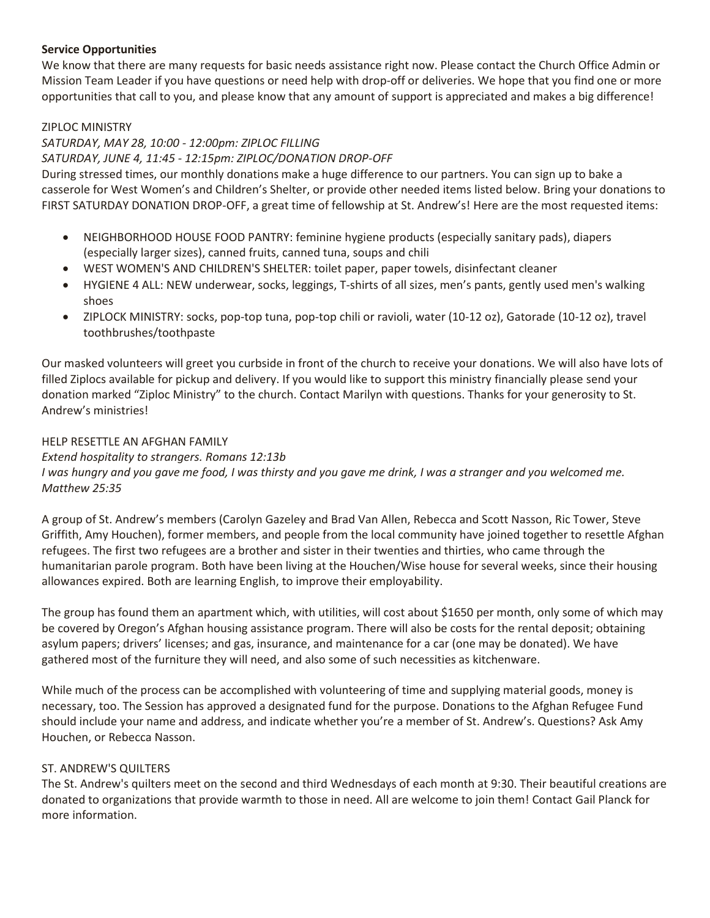## **Service Opportunities**

We know that there are many requests for basic needs assistance right now. Please contact the Church Office Admin or Mission Team Leader if you have questions or need help with drop-off or deliveries. We hope that you find one or more opportunities that call to you, and please know that any amount of support is appreciated and makes a big difference!

## ZIPLOC MINISTRY

## *SATURDAY, MAY 28, 10:00 - 12:00pm: ZIPLOC FILLING SATURDAY, JUNE 4, 11:45 - 12:15pm: ZIPLOC/DONATION DROP-OFF*

During stressed times, our monthly donations make a huge difference to our partners. You can sign up to bake a casserole for West Women's and Children's Shelter, or provide other needed items listed below. Bring your donations to FIRST SATURDAY DONATION DROP-OFF, a great time of fellowship at St. Andrew's! Here are the most requested items:

- NEIGHBORHOOD HOUSE FOOD PANTRY: feminine hygiene products (especially sanitary pads), diapers (especially larger sizes), canned fruits, canned tuna, soups and chili
- WEST WOMEN'S AND CHILDREN'S SHELTER: toilet paper, paper towels, disinfectant cleaner
- HYGIENE 4 ALL: NEW underwear, socks, leggings, T-shirts of all sizes, men's pants, gently used men's walking shoes
- ZIPLOCK MINISTRY: socks, pop-top tuna, pop-top chili or ravioli, water (10-12 oz), Gatorade (10-12 oz), travel toothbrushes/toothpaste

Our masked volunteers will greet you curbside in front of the church to receive your donations. We will also have lots of filled Ziplocs available for pickup and delivery. If you would like to support this ministry financially please send your donation marked "Ziploc Ministry" to the church. Contact Marilyn with questions. Thanks for your generosity to St. Andrew's ministries!

## HELP RESETTLE AN AFGHAN FAMILY

## *Extend hospitality to strangers. Romans 12:13b*

*I was hungry and you gave me food, I was thirsty and you gave me drink, I was a stranger and you welcomed me. Matthew 25:35*

A group of St. Andrew's members (Carolyn Gazeley and Brad Van Allen, Rebecca and Scott Nasson, Ric Tower, Steve Griffith, Amy Houchen), former members, and people from the local community have joined together to resettle Afghan refugees. The first two refugees are a brother and sister in their twenties and thirties, who came through the humanitarian parole program. Both have been living at the Houchen/Wise house for several weeks, since their housing allowances expired. Both are learning English, to improve their employability.

The group has found them an apartment which, with utilities, will cost about \$1650 per month, only some of which may be covered by Oregon's Afghan housing assistance program. There will also be costs for the rental deposit; obtaining asylum papers; drivers' licenses; and gas, insurance, and maintenance for a car (one may be donated). We have gathered most of the furniture they will need, and also some of such necessities as kitchenware.

While much of the process can be accomplished with volunteering of time and supplying material goods, money is necessary, too. The Session has approved a designated fund for the purpose. Donations to the Afghan Refugee Fund should include your name and address, and indicate whether you're a member of St. Andrew's. Questions? Ask Amy Houchen, or Rebecca Nasson.

## ST. ANDREW'S QUILTERS

The St. Andrew's quilters meet on the second and third Wednesdays of each month at 9:30. Their beautiful creations are donated to organizations that provide warmth to those in need. All are welcome to join them! Contact Gail Planck for more information.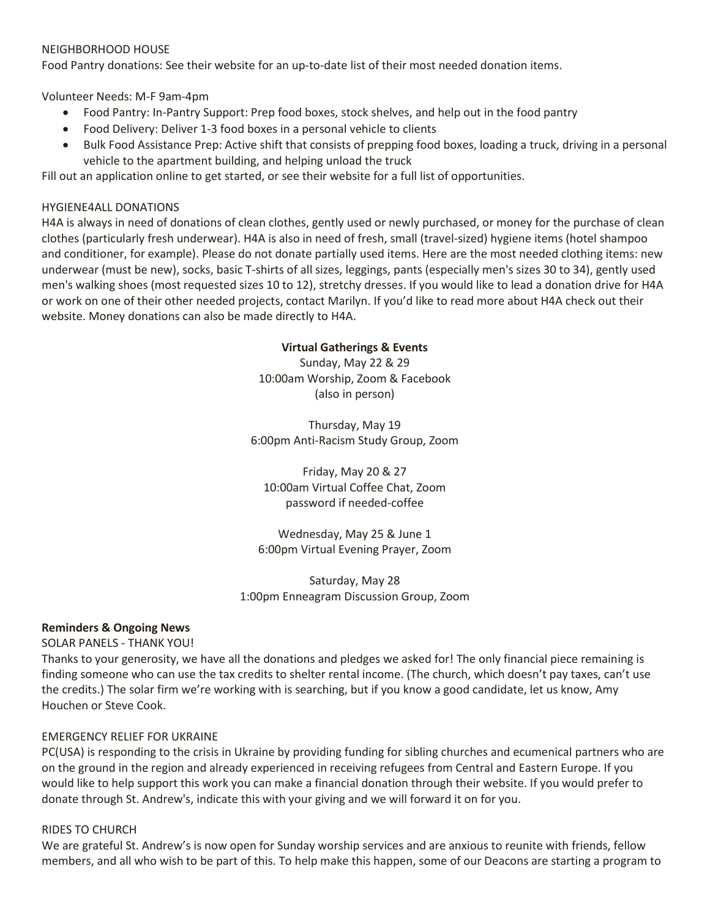#### NEIGHBORHOOD HOUSE

Food Pantry donations: See their website for an up-to-date list of their most needed donation items.

Volunteer Needs: M-F 9am-4pm

- Food Pantry: In-Pantry Support: Prep food boxes, stock shelves, and help out in the food pantry
- Food Delivery: Deliver 1-3 food boxes in a personal vehicle to clients
- Bulk Food Assistance Prep: Active shift that consists of prepping food boxes, loading a truck, driving in a personal vehicle to the apartment building, and helping unload the truck

Fill out an application online to get started, or see their website for a full list of opportunities.

## HYGIENE4ALL DONATIONS

H4A is always in need of donations of clean clothes, gently used or newly purchased, or money for the purchase of clean clothes (particularly fresh underwear). H4A is also in need of fresh, small (travel-sized) hygiene items (hotel shampoo and conditioner, for example). Please do not donate partially used items. Here are the most needed clothing items: new underwear (must be new), socks, basic T-shirts of all sizes, leggings, pants (especially men's sizes 30 to 34), gently used men's walking shoes (most requested sizes 10 to 12), stretchy dresses. If you would like to lead a donation drive for H4A or work on one of their other needed projects, contact Marilyn. If you'd like to read more about H4A check out their website. Money donations can also be made directly to H4A.

#### **Virtual Gatherings & Events**

Sunday, May 22 & 29 10:00am Worship, Zoom & Facebook (also in person)

Thursday, May 19 6:00pm Anti-Racism Study Group, Zoom

Friday, May 20 & 27 10:00am Virtual Coffee Chat, Zoom password if needed-coffee

Wednesday, May 25 & June 1 6:00pm Virtual Evening Prayer, Zoom

Saturday, May 28 1:00pm Enneagram Discussion Group, Zoom

## **Reminders & Ongoing News**

SOLAR PANELS - THANK YOU!

Thanks to your generosity, we have all the donations and pledges we asked for! The only financial piece remaining is finding someone who can use the tax credits to shelter rental income. (The church, which doesn't pay taxes, can't use the credits.) The solar firm we're working with is searching, but if you know a good candidate, let us know, Amy Houchen or Steve Cook.

## EMERGENCY RELIEF FOR UKRAINE

PC(USA) is responding to the crisis in Ukraine by providing funding for sibling churches and ecumenical partners who are on the ground in the region and already experienced in receiving refugees from Central and Eastern Europe. If you would like to help support this work you can make a financial donation through their website. If you would prefer to donate through St. Andrew's, indicate this with your giving and we will forward it on for you.

## RIDES TO CHURCH

We are grateful St. Andrew's is now open for Sunday worship services and are anxious to reunite with friends, fellow members, and all who wish to be part of this. To help make this happen, some of our Deacons are starting a program to